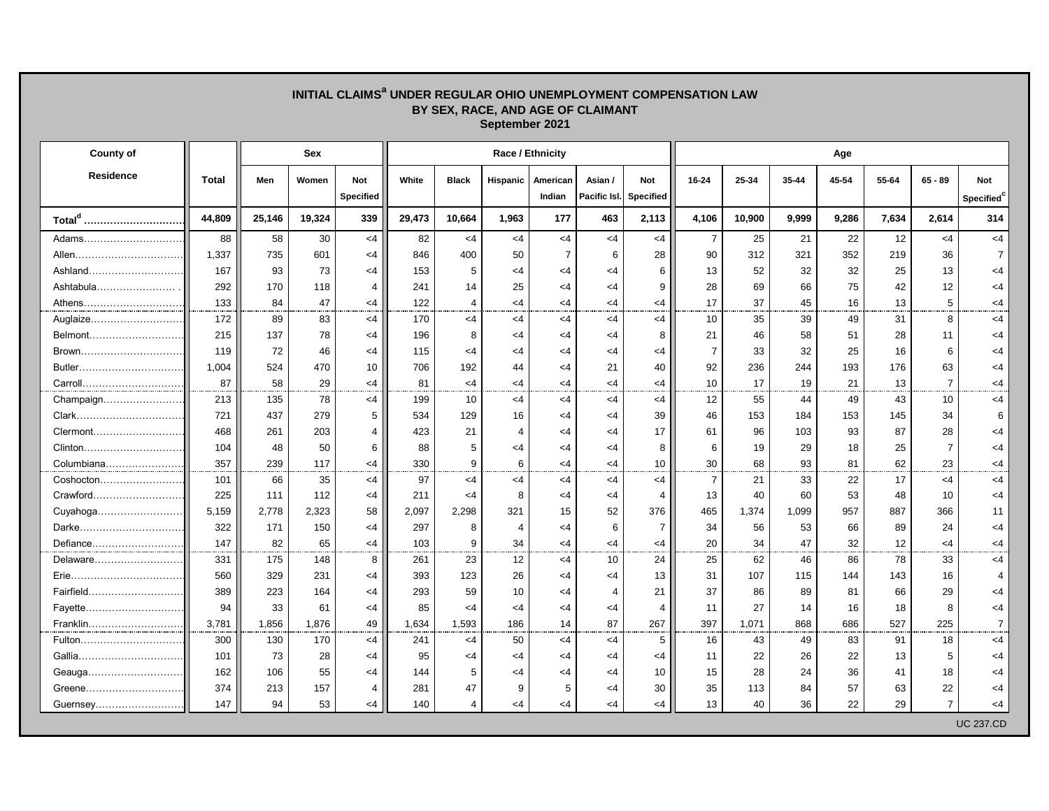## **INITIAL CLAIMS<sup>a</sup> UNDER REGULAR OHIO UNEMPLOYMENT COMPENSATION LAW BY SEX, RACE, AND AGE OF CLAIMANT September 2021**

| County of          |        | <b>Sex</b> |        |                                | Race / Ethnicity |                |                       |                    |                         |                  |                | Age    |       |       |       |                |                               |  |  |  |
|--------------------|--------|------------|--------|--------------------------------|------------------|----------------|-----------------------|--------------------|-------------------------|------------------|----------------|--------|-------|-------|-------|----------------|-------------------------------|--|--|--|
| <b>Residence</b>   | Total  | Men        | Women  | <b>Not</b><br><b>Specified</b> | White            | <b>Black</b>   | <b>Hispanic</b>       | American<br>Indian | Asian /<br>Pacific Isl. | Not<br>Specified | 16-24          | 25-34  | 35-44 | 45-54 | 55-64 | $65 - 89$      | Not<br>Specified <sup>c</sup> |  |  |  |
| Total <sup>d</sup> | 44,809 | 25.146     | 19,324 | 339                            | 29,473           | 10,664         | 1,963                 | 177                | 463                     | 2,113            | 4,106          | 10,900 | 9,999 | 9,286 | 7,634 | 2,614          | 314                           |  |  |  |
| Adams              | 88     | 58         | 30     | $<$ 4                          | 82               | $<$ 4          | $<$ 4                 | $<$ 4              | $<$ 4                   | $<$ 4            | $\overline{7}$ | 25     | 21    | 22    | 12    | <4             | $<$ 4                         |  |  |  |
| Allen              | 1,337  | 735        | 601    | $<$ 4                          | 846              | 400            | 50                    | $\overline{7}$     | 6                       | 28               | 90             | 312    | 321   | 352   | 219   | 36             | $\overline{7}$                |  |  |  |
| Ashland            | 167    | 93         | 73     | $\leq$ 4                       | 153              | 5              | $<$ 4                 | $<$ 4              | $\leq 4$                | 6                | 13             | 52     | 32    | 32    | 25    | 13             | <4                            |  |  |  |
| Ashtabula          | 292    | 170        | 118    | 4                              | 241              | 14             | 25                    | $<$ 4              | $<$ 4                   | 9                | 28             | 69     | 66    | 75    | 42    | 12             | <4                            |  |  |  |
| Athens             | 133    | 84         | 47     | <4                             | 122              | $\overline{4}$ | $<$ 4                 | <4                 | $<$ 4                   | <4               | 17             | 37     | 45    | 16    | 13    | 5              | $\leq 4$                      |  |  |  |
| Auglaize           | 172    | 89         | 83     | $<$ 4                          | 170              | $<$ 4          | $<$ 4                 | $<$ 4              | $<$ 4                   | <4               | 10             | 35     | 39    | 49    | 31    | 8              | $<$ 4                         |  |  |  |
| Belmont            | 215    | 137        | 78     | <4                             | 196              | 8              | <4                    | $<$ 4              | $\leq 4$                | 8                | 21             | 46     | 58    | 51    | 28    | 11             | <4                            |  |  |  |
| Brown              | 119    | 72         | 46     | <4                             | 115              | <4             | <4                    | <4                 | $\leq 4$                | <4               | $\overline{7}$ | 33     | 32    | 25    | 16    | 6              | <4                            |  |  |  |
| Butler             | 1,004  | 524        | 470    | 10                             | 706              | 192            | 44                    | $<$ 4              | 21                      | 40               | 92             | 236    | 244   | 193   | 176   | 63             | $\leq 4$                      |  |  |  |
| Carroll            | 87     | 58         | 29     | $<$ 4                          | 81               | $\leq 4$       | $<$ 4                 | $<$ 4              | $<$ 4                   | <4               | 10             | 17     | 19    | 21    | 13    | $\overline{7}$ | $<$ 4                         |  |  |  |
| Champaign          | 213    | 135        | 78     | $<$ 4                          | 199              | 10             | $<$ 4                 | $<$ 4              | $<$ 4                   | $<$ 4            | 12             | 55     | 44    | 49    | 43    | 10             | $\leq 4$                      |  |  |  |
| Clark              | 721    | 437        | 279    | 5                              | 534              | 129            | 16                    | $<$ 4              | $<$ 4                   | 39               | 46             | 153    | 184   | 153   | 145   | 34             | 6                             |  |  |  |
| Clermont           | 468    | 261        | 203    | 4                              | 423              | 21             | $\overline{4}$        | $<$ 4              | $<$ 4                   | 17               | 61             | 96     | 103   | 93    | 87    | 28             | <4                            |  |  |  |
| Clinton            | 104    | 48         | 50     | 6                              | 88               | 5              | <4                    | <4                 | $<$ 4                   | 8                | 6              | 19     | 29    | 18    | 25    | $\overline{7}$ | $<$ 4                         |  |  |  |
| Columbiana         | 357    | 239        | 117    | $\leq$ 4                       | 330              | 9              | 6                     | $<$ 4              | $<$ 4                   | 10               | 30             | 68     | 93    | 81    | 62    | 23             | <4                            |  |  |  |
| Coshocton          | 101    | 66         | 35     | $<$ 4                          | 97               | $<$ 4          | $<$ 4                 | $<$ 4              | $<$ 4                   | $<$ 4            | $\overline{7}$ | 21     | 33    | 22    | 17    | $<$ 4          | $<$ 4                         |  |  |  |
| Crawford           | 225    | 111        | 112    | $\leq$ 4                       | 211              | $<$ 4          | 8                     | $<$ 4              | $<$ 4                   | $\overline{4}$   | 13             | 40     | 60    | 53    | 48    | 10             | <4                            |  |  |  |
| Cuyahoga           | 5,159  | 2,778      | 2,323  | 58                             | 2.097            | 2,298          | 321                   | 15                 | 52                      | 376              | 465            | 1,374  | 1,099 | 957   | 887   | 366            | 11                            |  |  |  |
|                    | 322    | 171        | 150    | $<$ 4                          | 297              | 8              | $\boldsymbol{\Delta}$ | <4                 | 6                       | $\overline{7}$   | 34             | 56     | 53    | 66    | 89    | 24             | $\leq 4$                      |  |  |  |
| Defiance           | 147    | 82         | 65     | $<$ 4                          | 103              | 9              | 34                    | <4                 | $<$ 4                   | <4               | 20             | 34     | 47    | 32    | 12    | $<$ 4          | $<$ 4                         |  |  |  |
| Delaware           | 331    | 175        | 148    | 8                              | 261              | 23             | 12                    | $<$ 4              | 10                      | 24               | 25             | 62     | 46    | 86    | 78    | 33             | <4                            |  |  |  |
|                    | 560    | 329        | 231    | <4                             | 393              | 123            | 26                    | $<$ 4              | $\leq 4$                | 13               | 31             | 107    | 115   | 144   | 143   | 16             | 4                             |  |  |  |
| Fairfield          | 389    | 223        | 164    | $<$ 4                          | 293              | 59             | 10                    | <4                 | 4                       | 21               | 37             | 86     | 89    | 81    | 66    | 29             | <4                            |  |  |  |
|                    | 94     | 33         | 61     | $<$ 4                          | 85               | $\leq 4$       | $<$ 4                 | $\leq 4$           | $<$ 4                   | $\overline{4}$   | 11             | 27     | 14    | 16    | 18    | 8              | $\leq 4$                      |  |  |  |
| Franklin           | 3,781  | 1,856      | 1,876  | 49                             | 1,634            | 1,593          | 186                   | 14                 | 87                      | 267              | 397            | 1,071  | 868   | 686   | 527   | 225            | $\overline{7}$                |  |  |  |
| Fulton             | 300    | 130        | 170    | $\leq$ 4                       | 241              | <4             | 50                    | $<$ 4              | $<$ 4                   | 5                | 16             | 43     | 49    | 83    | 91    | 18             | <4                            |  |  |  |
|                    | 101    | 73         | 28     | $\leq 4$                       | 95               | <4             | $\leq 4$              | <4                 | $<$ 4                   | <4               | 11             | 22     | 26    | 22    | 13    | 5              | <4                            |  |  |  |
|                    | 162    | 106        | 55     | $\leq 4$                       | 144              | 5              | <4                    | $<$ 4              | $<$ 4                   | 10               | 15             | 28     | 24    | 36    | 41    | 18             | <4                            |  |  |  |
| Greene             | 374    | 213        | 157    | 4                              | 281              | 47             | 9                     | 5                  | $<$ 4                   | 30               | 35             | 113    | 84    | 57    | 63    | 22             | <4                            |  |  |  |
| Guernsey           | 147    | 94         | 53     | $<$ 4                          | 140              | $\overline{4}$ | $<$ 4                 | $<$ 4              | $<$ 4                   | <4               | 13             | 40     | 36    | 22    | 29    | $\overline{7}$ | <4                            |  |  |  |
|                    |        |            |        |                                |                  |                |                       |                    |                         |                  |                |        |       |       |       |                | <b>UC 237.CD</b>              |  |  |  |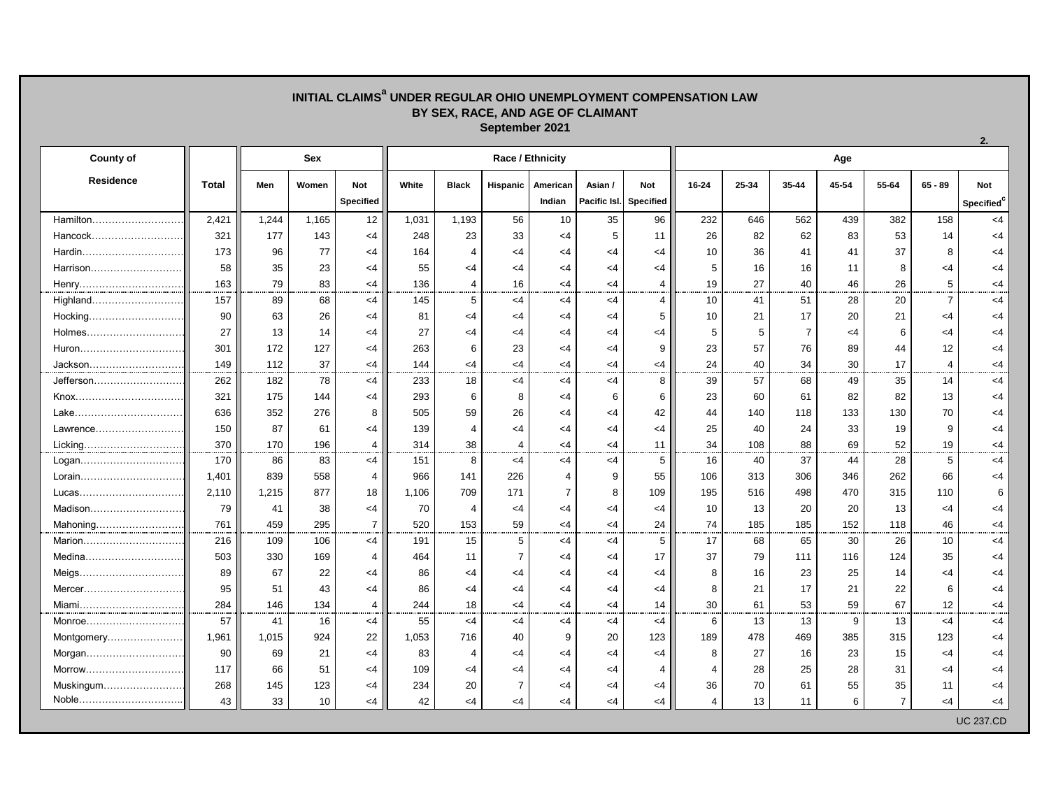## **INITIAL CLAIMS<sup>a</sup> UNDER REGULAR OHIO UNEMPLOYMENT COMPENSATION LAW BY SEX, RACE, AND AGE OF CLAIMANT September 2021**

| <b>County of</b> |              | <b>Sex</b> |       |                  | Race / Ethnicity |                |                |                |              |                  |                | Age   |                |       |                |                |                        |  |  |
|------------------|--------------|------------|-------|------------------|------------------|----------------|----------------|----------------|--------------|------------------|----------------|-------|----------------|-------|----------------|----------------|------------------------|--|--|
| <b>Residence</b> | <b>Total</b> | Men        | Women | Not              | White            | <b>Black</b>   | Hispanic       | American       | Asian /      | Not              | 16-24          | 25-34 | 35-44          | 45-54 | 55-64          | $65 - 89$      | <b>Not</b>             |  |  |
|                  |              |            |       | <b>Specified</b> |                  |                |                | Indian         | Pacific Isl. | <b>Specified</b> |                |       |                |       |                |                | Specified <sup>c</sup> |  |  |
| Hamilton         | 2,421        | 1,244      | 1,165 | 12               | 1,031            | 1,193          | 56             | 10             | 35           | 96               | 232            | 646   | 562            | 439   | 382            | 158            | $<$ 4                  |  |  |
| Hancock          | 321          | 177        | 143   | $<$ 4            | 248              | 23             | 33             | $<$ 4          | 5            | 11               | 26             | 82    | 62             | 83    | 53             | 14             | <4                     |  |  |
| Hardin           | 173          | 96         | 77    | $<$ 4            | 164              | $\overline{4}$ | <4             | $<$ 4          | $<$ 4        | $<$ 4            | 10             | 36    | 41             | 41    | 37             | 8              | <4                     |  |  |
| Harrison         | 58           | 35         | 23    | $<$ 4            | 55               | <4             | <4             | $<$ 4          | $<$ 4        | <4               | 5              | 16    | 16             | 11    | 8              | $<$ 4          | <4                     |  |  |
| Henry            | 163          | 79         | 83    | $<$ 4            | 136              | $\overline{4}$ | 16             | $<$ 4          | $<$ 4        | 4                | 19             | 27    | 40             | 46    | 26             | 5              | <4                     |  |  |
| Highland         | 157          | 89         | 68    | <4               | 145              | 5              | $<$ 4          | $<$ 4          | $<$ 4        | 4                | 10             | 41    | 51             | 28    | 20             | $\overline{7}$ | <4                     |  |  |
| Hocking          | 90           | 63         | 26    | $<$ 4            | 81               | <4             | $<$ 4          | $<$ 4          | $<$ 4        | 5                | 10             | 21    | 17             | 20    | 21             | $<$ 4          | <4                     |  |  |
| Holmes           | 27           | 13         | 14    | $<$ 4            | 27               | <4             | <4             | $<$ 4          | $<$ 4        | $<$ 4            | 5              | 5     | $\overline{7}$ | $<$ 4 | 6              | $<$ 4          | <4                     |  |  |
|                  | 301          | 172        | 127   | $<$ 4            | 263              | 6              | 23             | $<$ 4          | $<$ 4        | 9                | 23             | 57    | 76             | 89    | 44             | 12             | <4                     |  |  |
| Jackson          | 149          | 112        | 37    | $<$ 4            | 144              | $<$ 4          | <4             | $<$ 4          | $<$ 4        | <4               | 24             | 40    | 34             | 30    | 17             | $\overline{4}$ | <4                     |  |  |
| Jefferson        | 262          | 182        | 78    | $<$ 4            | 233              | 18             | $<$ 4          | $<$ 4          | $<$ 4        | 8                | 39             | 57    | 68             | 49    | 35             | 14             | $<$ 4                  |  |  |
| Knox             | 321          | 175        | 144   | $<$ 4            | 293              | 6              | 8              | $<$ 4          | 6            | 6                | 23             | 60    | 61             | 82    | 82             | 13             | <4                     |  |  |
| Lake             | 636          | 352        | 276   | 8                | 505              | 59             | 26             | $<$ 4          | $<$ 4        | 42               | 44             | 140   | 118            | 133   | 130            | 70             | <4                     |  |  |
| Lawrence         | 150          | 87         | 61    | $<$ 4            | 139              | $\overline{4}$ | $<$ 4          | $<$ 4          | $<$ 4        | $<$ 4            | 25             | 40    | 24             | 33    | 19             | 9              | <4                     |  |  |
| Licking          | 370          | 170        | 196   | $\overline{4}$   | 314              | 38             | $\overline{4}$ | $<$ 4          | $<$ 4        | 11               | 34             | 108   | 88             | 69    | 52             | 19             | <4                     |  |  |
| Logan            | 170          | 86         | 83    | $<$ 4            | 151              | 8              | $<$ 4          | $<$ 4          | $<$ 4        | 5                | 16             | 40    | 37             | 44    | 28             | 5              | $<$ 4                  |  |  |
| Lorain           | 1,401        | 839        | 558   | $\overline{4}$   | 966              | 141            | 226            | $\overline{4}$ | 9            | 55               | 106            | 313   | 306            | 346   | 262            | 66             | <4                     |  |  |
| Lucas            | 2,110        | 1,215      | 877   | 18               | 1,106            | 709            | 171            | $\overline{7}$ | 8            | 109              | 195            | 516   | 498            | 470   | 315            | 110            | 6                      |  |  |
| Madison          | 79           | 41         | 38    | $<$ 4            | 70               | $\overline{4}$ | $<$ 4          | $<$ 4          | $<$ 4        | $<$ 4            | 10             | 13    | 20             | 20    | 13             | $<$ 4          | <4                     |  |  |
| Mahoning         | 761          | 459        | 295   | $\overline{7}$   | 520              | 153            | 59             | $<$ 4          | $<$ 4        | 24               | 74             | 185   | 185            | 152   | 118            | 46             | <4                     |  |  |
| Marion           | 216          | 109        | 106   | $<$ 4            | 191              | 15             | 5              | $<$ 4          | $<$ 4        | 5                | 17             | 68    | 65             | 30    | 26             | 10             | $<$ 4                  |  |  |
| Medina           | 503          | 330        | 169   | 4                | 464              | 11             | $\overline{7}$ | $\leq 4$       | $<$ 4        | 17               | 37             | 79    | 111            | 116   | 124            | 35             | <4                     |  |  |
|                  | 89           | 67         | 22    | $<$ 4            | 86               | $\leq 4$       | <4             | $<$ 4          | $<$ 4        | $<$ 4            | 8              | 16    | 23             | 25    | 14             | <4             | <4                     |  |  |
| Mercer           | 95           | 51         | 43    | $\leq 4$         | 86               | $<$ 4          | $<$ 4          | $<$ 4          | $<$ 4        | $<$ 4            | 8              | 21    | 17             | 21    | 22             | 6              | <4                     |  |  |
| Miami            | 284          | 146        | 134   | 4                | 244              | 18             | $<$ 4          | $<$ 4          | <4           | 14               | 30             | 61    | 53             | 59    | 67             | 12             | <4                     |  |  |
| Monroe           | 57           | 41         | 16    | $<$ 4            | 55               | $<$ 4          | $<$ 4          | $<$ 4          | $<$ 4        | $\lt$ 4          | 6              | 13    | 13             | 9     | 13             | $<$ 4          | $\leq 4$               |  |  |
| Montgomery       | 1,961        | 1,015      | 924   | 22               | 1,053            | 716            | 40             | 9              | 20           | 123              | 189            | 478   | 469            | 385   | 315            | 123            | <4                     |  |  |
| Morgan           | 90           | 69         | 21    | $<$ 4            | 83               | $\overline{4}$ | $<$ 4          | $<$ 4          | $<$ 4        | $<$ 4            | 8              | 27    | 16             | 23    | 15             | $<$ 4          | <4                     |  |  |
| Morrow           | 117          | 66         | 51    | $<$ 4            | 109              | $\leq 4$       | <4             | $<$ 4          | $<$ 4        | 4                | 4              | 28    | 25             | 28    | 31             | $<$ 4          | <4                     |  |  |
| Muskingum        | 268          | 145        | 123   | $<$ 4            | 234              | 20             | $\overline{7}$ | $<$ 4          | $<$ 4        | $<$ 4            | 36             | 70    | 61             | 55    | 35             | 11             | <4                     |  |  |
| Noble            | 43           | 33         | 10    | $<$ 4            | 42               | $<$ 4          | <4             | $<$ 4          | $<$ 4        | <4               | $\overline{4}$ | 13    | 11             | 6     | $\overline{7}$ | <4             | $<$ 4                  |  |  |
|                  |              |            |       |                  |                  |                |                |                |              |                  |                |       |                |       |                |                | <b>UC 237.CD</b>       |  |  |

**2.**